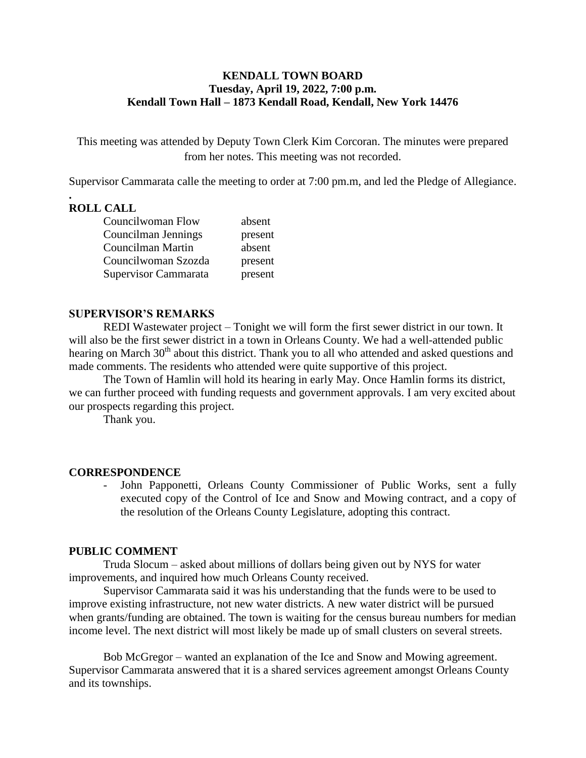### **KENDALL TOWN BOARD Tuesday, April 19, 2022, 7:00 p.m. Kendall Town Hall – 1873 Kendall Road, Kendall, New York 14476**

This meeting was attended by Deputy Town Clerk Kim Corcoran. The minutes were prepared from her notes. This meeting was not recorded.

Supervisor Cammarata calle the meeting to order at 7:00 pm.m, and led the Pledge of Allegiance.

### **. ROLL CALL**

| Councilwoman Flow    | absent  |
|----------------------|---------|
| Councilman Jennings  | present |
| Councilman Martin    | absent  |
| Councilwoman Szozda  | present |
| Supervisor Cammarata | present |

### **SUPERVISOR'S REMARKS**

REDI Wastewater project – Tonight we will form the first sewer district in our town. It will also be the first sewer district in a town in Orleans County. We had a well-attended public hearing on March  $30<sup>th</sup>$  about this district. Thank you to all who attended and asked questions and made comments. The residents who attended were quite supportive of this project.

The Town of Hamlin will hold its hearing in early May. Once Hamlin forms its district, we can further proceed with funding requests and government approvals. I am very excited about our prospects regarding this project.

Thank you.

### **CORRESPONDENCE**

John Papponetti, Orleans County Commissioner of Public Works, sent a fully executed copy of the Control of Ice and Snow and Mowing contract, and a copy of the resolution of the Orleans County Legislature, adopting this contract.

### **PUBLIC COMMENT**

Truda Slocum – asked about millions of dollars being given out by NYS for water improvements, and inquired how much Orleans County received.

Supervisor Cammarata said it was his understanding that the funds were to be used to improve existing infrastructure, not new water districts. A new water district will be pursued when grants/funding are obtained. The town is waiting for the census bureau numbers for median income level. The next district will most likely be made up of small clusters on several streets.

Bob McGregor – wanted an explanation of the Ice and Snow and Mowing agreement. Supervisor Cammarata answered that it is a shared services agreement amongst Orleans County and its townships.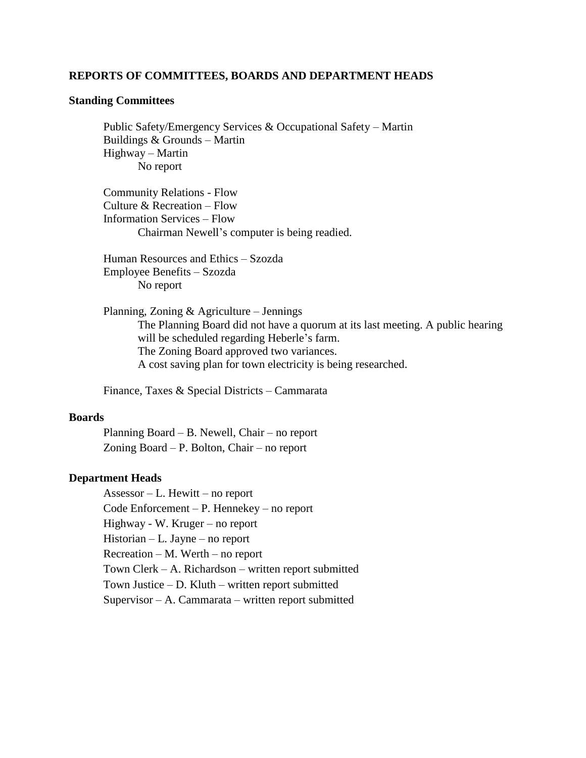#### **REPORTS OF COMMITTEES, BOARDS AND DEPARTMENT HEADS**

#### **Standing Committees**

 Public Safety/Emergency Services & Occupational Safety – Martin Buildings & Grounds – Martin Highway – Martin No report

Community Relations - Flow Culture & Recreation – Flow Information Services – Flow Chairman Newell's computer is being readied.

Human Resources and Ethics – Szozda Employee Benefits – Szozda No report

Planning, Zoning & Agriculture – Jennings The Planning Board did not have a quorum at its last meeting. A public hearing will be scheduled regarding Heberle's farm. The Zoning Board approved two variances. A cost saving plan for town electricity is being researched.

Finance, Taxes & Special Districts – Cammarata

#### **Boards**

Planning Board – B. Newell, Chair – no report Zoning Board – P. Bolton, Chair – no report

#### **Department Heads**

Assessor – L. Hewitt – no report Code Enforcement – P. Hennekey – no report Highway - W. Kruger – no report Historian – L. Jayne – no report Recreation – M. Werth – no report Town Clerk – A. Richardson – written report submitted Town Justice – D. Kluth – written report submitted Supervisor – A. Cammarata – written report submitted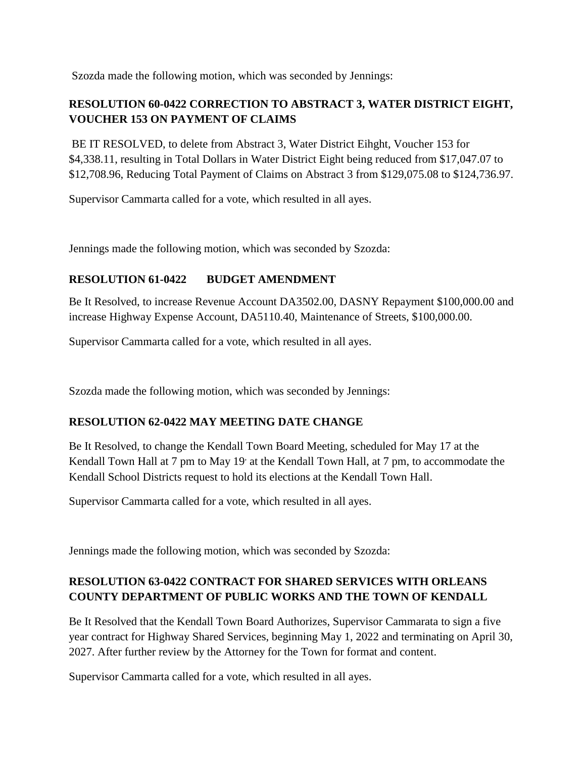Szozda made the following motion, which was seconded by Jennings:

# **RESOLUTION 60-0422 CORRECTION TO ABSTRACT 3, WATER DISTRICT EIGHT, VOUCHER 153 ON PAYMENT OF CLAIMS**

BE IT RESOLVED, to delete from Abstract 3, Water District Eihght, Voucher 153 for \$4,338.11, resulting in Total Dollars in Water District Eight being reduced from \$17,047.07 to \$12,708.96, Reducing Total Payment of Claims on Abstract 3 from \$129,075.08 to \$124,736.97.

Supervisor Cammarta called for a vote, which resulted in all ayes.

Jennings made the following motion, which was seconded by Szozda:

## **RESOLUTION 61-0422 BUDGET AMENDMENT**

Be It Resolved, to increase Revenue Account DA3502.00, DASNY Repayment \$100,000.00 and increase Highway Expense Account, DA5110.40, Maintenance of Streets, \$100,000.00.

Supervisor Cammarta called for a vote, which resulted in all ayes.

Szozda made the following motion, which was seconded by Jennings:

## **RESOLUTION 62-0422 MAY MEETING DATE CHANGE**

Be It Resolved, to change the Kendall Town Board Meeting, scheduled for May 17 at the Kendall Town Hall at 7 pm to May 19' at the Kendall Town Hall, at 7 pm, to accommodate the Kendall School Districts request to hold its elections at the Kendall Town Hall.

Supervisor Cammarta called for a vote, which resulted in all ayes.

Jennings made the following motion, which was seconded by Szozda:

# **RESOLUTION 63-0422 CONTRACT FOR SHARED SERVICES WITH ORLEANS COUNTY DEPARTMENT OF PUBLIC WORKS AND THE TOWN OF KENDALL**

Be It Resolved that the Kendall Town Board Authorizes, Supervisor Cammarata to sign a five year contract for Highway Shared Services, beginning May 1, 2022 and terminating on April 30, 2027. After further review by the Attorney for the Town for format and content.

Supervisor Cammarta called for a vote, which resulted in all ayes.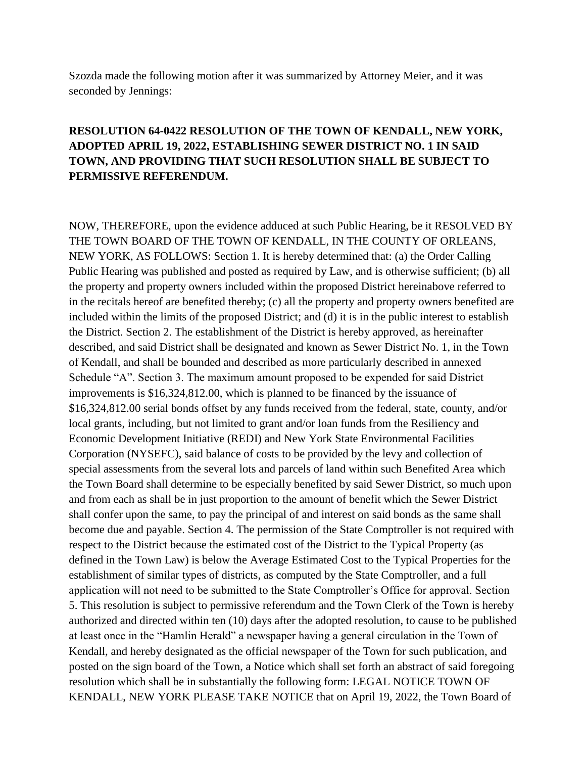Szozda made the following motion after it was summarized by Attorney Meier, and it was seconded by Jennings:

# **RESOLUTION 64-0422 RESOLUTION OF THE TOWN OF KENDALL, NEW YORK, ADOPTED APRIL 19, 2022, ESTABLISHING SEWER DISTRICT NO. 1 IN SAID TOWN, AND PROVIDING THAT SUCH RESOLUTION SHALL BE SUBJECT TO PERMISSIVE REFERENDUM.**

NOW, THEREFORE, upon the evidence adduced at such Public Hearing, be it RESOLVED BY THE TOWN BOARD OF THE TOWN OF KENDALL, IN THE COUNTY OF ORLEANS, NEW YORK, AS FOLLOWS: Section 1. It is hereby determined that: (a) the Order Calling Public Hearing was published and posted as required by Law, and is otherwise sufficient; (b) all the property and property owners included within the proposed District hereinabove referred to in the recitals hereof are benefited thereby; (c) all the property and property owners benefited are included within the limits of the proposed District; and (d) it is in the public interest to establish the District. Section 2. The establishment of the District is hereby approved, as hereinafter described, and said District shall be designated and known as Sewer District No. 1, in the Town of Kendall, and shall be bounded and described as more particularly described in annexed Schedule "A". Section 3. The maximum amount proposed to be expended for said District improvements is \$16,324,812.00, which is planned to be financed by the issuance of \$16,324,812.00 serial bonds offset by any funds received from the federal, state, county, and/or local grants, including, but not limited to grant and/or loan funds from the Resiliency and Economic Development Initiative (REDI) and New York State Environmental Facilities Corporation (NYSEFC), said balance of costs to be provided by the levy and collection of special assessments from the several lots and parcels of land within such Benefited Area which the Town Board shall determine to be especially benefited by said Sewer District, so much upon and from each as shall be in just proportion to the amount of benefit which the Sewer District shall confer upon the same, to pay the principal of and interest on said bonds as the same shall become due and payable. Section 4. The permission of the State Comptroller is not required with respect to the District because the estimated cost of the District to the Typical Property (as defined in the Town Law) is below the Average Estimated Cost to the Typical Properties for the establishment of similar types of districts, as computed by the State Comptroller, and a full application will not need to be submitted to the State Comptroller's Office for approval. Section 5. This resolution is subject to permissive referendum and the Town Clerk of the Town is hereby authorized and directed within ten (10) days after the adopted resolution, to cause to be published at least once in the "Hamlin Herald" a newspaper having a general circulation in the Town of Kendall, and hereby designated as the official newspaper of the Town for such publication, and posted on the sign board of the Town, a Notice which shall set forth an abstract of said foregoing resolution which shall be in substantially the following form: LEGAL NOTICE TOWN OF KENDALL, NEW YORK PLEASE TAKE NOTICE that on April 19, 2022, the Town Board of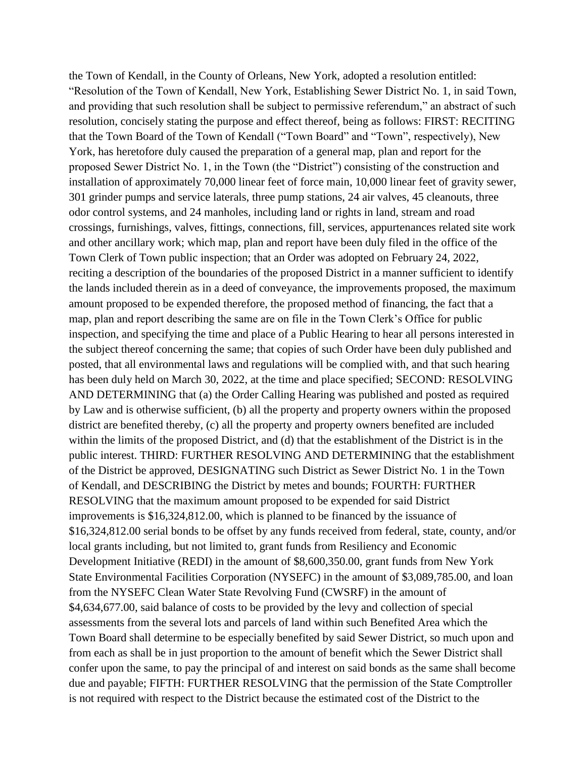the Town of Kendall, in the County of Orleans, New York, adopted a resolution entitled: "Resolution of the Town of Kendall, New York, Establishing Sewer District No. 1, in said Town, and providing that such resolution shall be subject to permissive referendum," an abstract of such resolution, concisely stating the purpose and effect thereof, being as follows: FIRST: RECITING that the Town Board of the Town of Kendall ("Town Board" and "Town", respectively), New York, has heretofore duly caused the preparation of a general map, plan and report for the proposed Sewer District No. 1, in the Town (the "District") consisting of the construction and installation of approximately 70,000 linear feet of force main, 10,000 linear feet of gravity sewer, 301 grinder pumps and service laterals, three pump stations, 24 air valves, 45 cleanouts, three odor control systems, and 24 manholes, including land or rights in land, stream and road crossings, furnishings, valves, fittings, connections, fill, services, appurtenances related site work and other ancillary work; which map, plan and report have been duly filed in the office of the Town Clerk of Town public inspection; that an Order was adopted on February 24, 2022, reciting a description of the boundaries of the proposed District in a manner sufficient to identify the lands included therein as in a deed of conveyance, the improvements proposed, the maximum amount proposed to be expended therefore, the proposed method of financing, the fact that a map, plan and report describing the same are on file in the Town Clerk's Office for public inspection, and specifying the time and place of a Public Hearing to hear all persons interested in the subject thereof concerning the same; that copies of such Order have been duly published and posted, that all environmental laws and regulations will be complied with, and that such hearing has been duly held on March 30, 2022, at the time and place specified; SECOND: RESOLVING AND DETERMINING that (a) the Order Calling Hearing was published and posted as required by Law and is otherwise sufficient, (b) all the property and property owners within the proposed district are benefited thereby, (c) all the property and property owners benefited are included within the limits of the proposed District, and (d) that the establishment of the District is in the public interest. THIRD: FURTHER RESOLVING AND DETERMINING that the establishment of the District be approved, DESIGNATING such District as Sewer District No. 1 in the Town of Kendall, and DESCRIBING the District by metes and bounds; FOURTH: FURTHER RESOLVING that the maximum amount proposed to be expended for said District improvements is \$16,324,812.00, which is planned to be financed by the issuance of \$16,324,812.00 serial bonds to be offset by any funds received from federal, state, county, and/or local grants including, but not limited to, grant funds from Resiliency and Economic Development Initiative (REDI) in the amount of \$8,600,350.00, grant funds from New York State Environmental Facilities Corporation (NYSEFC) in the amount of \$3,089,785.00, and loan from the NYSEFC Clean Water State Revolving Fund (CWSRF) in the amount of \$4,634,677.00, said balance of costs to be provided by the levy and collection of special assessments from the several lots and parcels of land within such Benefited Area which the Town Board shall determine to be especially benefited by said Sewer District, so much upon and from each as shall be in just proportion to the amount of benefit which the Sewer District shall confer upon the same, to pay the principal of and interest on said bonds as the same shall become due and payable; FIFTH: FURTHER RESOLVING that the permission of the State Comptroller is not required with respect to the District because the estimated cost of the District to the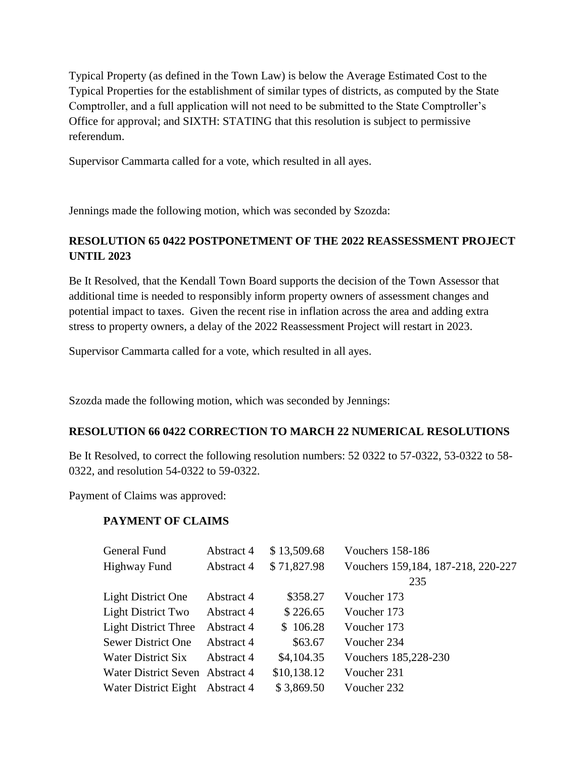Typical Property (as defined in the Town Law) is below the Average Estimated Cost to the Typical Properties for the establishment of similar types of districts, as computed by the State Comptroller, and a full application will not need to be submitted to the State Comptroller's Office for approval; and SIXTH: STATING that this resolution is subject to permissive referendum.

Supervisor Cammarta called for a vote, which resulted in all ayes.

Jennings made the following motion, which was seconded by Szozda:

# **RESOLUTION 65 0422 POSTPONETMENT OF THE 2022 REASSESSMENT PROJECT UNTIL 2023**

Be It Resolved, that the Kendall Town Board supports the decision of the Town Assessor that additional time is needed to responsibly inform property owners of assessment changes and potential impact to taxes. Given the recent rise in inflation across the area and adding extra stress to property owners, a delay of the 2022 Reassessment Project will restart in 2023.

Supervisor Cammarta called for a vote, which resulted in all ayes.

Szozda made the following motion, which was seconded by Jennings:

## **RESOLUTION 66 0422 CORRECTION TO MARCH 22 NUMERICAL RESOLUTIONS**

Be It Resolved, to correct the following resolution numbers: 52 0322 to 57-0322, 53-0322 to 58- 0322, and resolution 54-0322 to 59-0322.

Payment of Claims was approved:

## **PAYMENT OF CLAIMS**

| General Fund                    | Abstract 4 | \$13,509.68 | Vouchers 158-186                   |
|---------------------------------|------------|-------------|------------------------------------|
| <b>Highway Fund</b>             | Abstract 4 | \$71,827.98 | Vouchers 159,184, 187-218, 220-227 |
|                                 |            |             | 235                                |
| <b>Light District One</b>       | Abstract 4 | \$358.27    | Voucher 173                        |
| <b>Light District Two</b>       | Abstract 4 | \$226.65    | Voucher 173                        |
| <b>Light District Three</b>     | Abstract 4 | \$106.28    | Voucher 173                        |
| <b>Sewer District One</b>       | Abstract 4 | \$63.67     | Voucher 234                        |
| Water District Six              | Abstract 4 | \$4,104.35  | Vouchers 185,228-230               |
| Water District Seven Abstract 4 |            | \$10,138.12 | Voucher 231                        |
| Water District Eight Abstract 4 |            | \$3,869.50  | Voucher 232                        |